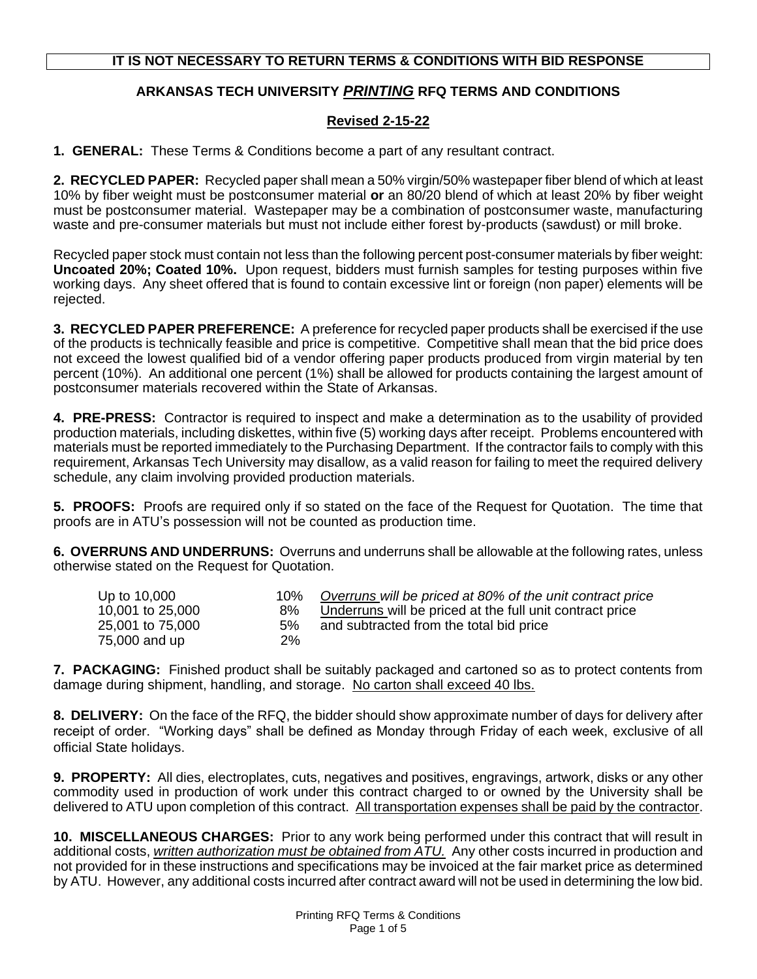## **IT IS NOT NECESSARY TO RETURN TERMS & CONDITIONS WITH BID RESPONSE**

## **ARKANSAS TECH UNIVERSITY** *PRINTING* **RFQ TERMS AND CONDITIONS**

## **Revised 2-15-22**

**1. GENERAL:** These Terms & Conditions become a part of any resultant contract.

**2. RECYCLED PAPER:** Recycled paper shall mean a 50% virgin/50% wastepaper fiber blend of which at least 10% by fiber weight must be postconsumer material **or** an 80/20 blend of which at least 20% by fiber weight must be postconsumer material. Wastepaper may be a combination of postconsumer waste, manufacturing waste and pre-consumer materials but must not include either forest by-products (sawdust) or mill broke.

Recycled paper stock must contain not less than the following percent post-consumer materials by fiber weight: **Uncoated 20%; Coated 10%.** Upon request, bidders must furnish samples for testing purposes within five working days. Any sheet offered that is found to contain excessive lint or foreign (non paper) elements will be rejected.

**3. RECYCLED PAPER PREFERENCE:** A preference for recycled paper products shall be exercised if the use of the products is technically feasible and price is competitive. Competitive shall mean that the bid price does not exceed the lowest qualified bid of a vendor offering paper products produced from virgin material by ten percent (10%). An additional one percent (1%) shall be allowed for products containing the largest amount of postconsumer materials recovered within the State of Arkansas.

**4. PRE-PRESS:** Contractor is required to inspect and make a determination as to the usability of provided production materials, including diskettes, within five (5) working days after receipt. Problems encountered with materials must be reported immediately to the Purchasing Department. If the contractor fails to comply with this requirement, Arkansas Tech University may disallow, as a valid reason for failing to meet the required delivery schedule, any claim involving provided production materials.

**5. PROOFS:** Proofs are required only if so stated on the face of the Request for Quotation. The time that proofs are in ATU's possession will not be counted as production time.

**6. OVERRUNS AND UNDERRUNS:** Overruns and underruns shall be allowable at the following rates, unless otherwise stated on the Request for Quotation.

| Up to 10,000     | $10\%$ | Overruns will be priced at 80% of the unit contract price |
|------------------|--------|-----------------------------------------------------------|
| 10,001 to 25,000 | 8%     | Underruns will be priced at the full unit contract price  |
| 25,001 to 75,000 | 5%     | and subtracted from the total bid price                   |
| 75,000 and up    | 2%     |                                                           |

**7. PACKAGING:** Finished product shall be suitably packaged and cartoned so as to protect contents from damage during shipment, handling, and storage. No carton shall exceed 40 lbs.

**8. DELIVERY:** On the face of the RFQ, the bidder should show approximate number of days for delivery after receipt of order. "Working days" shall be defined as Monday through Friday of each week, exclusive of all official State holidays.

**9. PROPERTY:** All dies, electroplates, cuts, negatives and positives, engravings, artwork, disks or any other commodity used in production of work under this contract charged to or owned by the University shall be delivered to ATU upon completion of this contract. All transportation expenses shall be paid by the contractor.

**10. MISCELLANEOUS CHARGES:** Prior to any work being performed under this contract that will result in additional costs, *written authorization must be obtained from ATU.* Any other costs incurred in production and not provided for in these instructions and specifications may be invoiced at the fair market price as determined by ATU. However, any additional costs incurred after contract award will not be used in determining the low bid.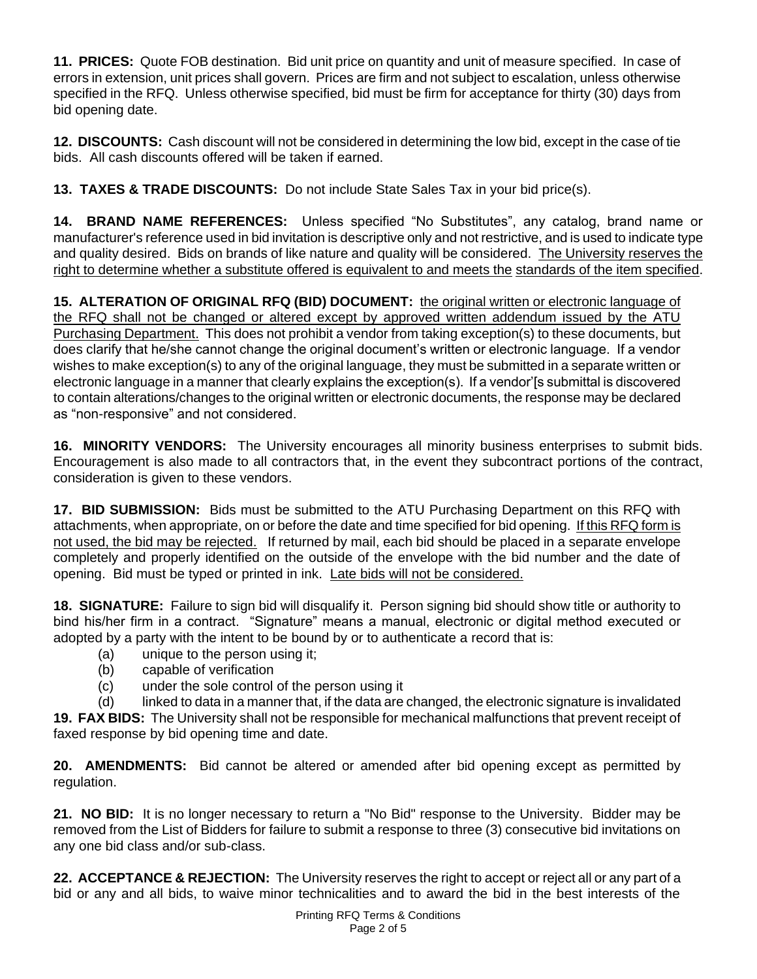**11. PRICES:** Quote FOB destination. Bid unit price on quantity and unit of measure specified. In case of errors in extension, unit prices shall govern. Prices are firm and not subject to escalation, unless otherwise specified in the RFQ. Unless otherwise specified, bid must be firm for acceptance for thirty (30) days from bid opening date.

**12. DISCOUNTS:** Cash discount will not be considered in determining the low bid, except in the case of tie bids. All cash discounts offered will be taken if earned.

**13. TAXES & TRADE DISCOUNTS:** Do not include State Sales Tax in your bid price(s).

**14. BRAND NAME REFERENCES:** Unless specified "No Substitutes", any catalog, brand name or manufacturer's reference used in bid invitation is descriptive only and not restrictive, and is used to indicate type and quality desired. Bids on brands of like nature and quality will be considered. The University reserves the right to determine whether a substitute offered is equivalent to and meets the standards of the item specified.

**15. ALTERATION OF ORIGINAL RFQ (BID) DOCUMENT:** the original written or electronic language of the RFQ shall not be changed or altered except by approved written addendum issued by the ATU Purchasing Department. This does not prohibit a vendor from taking exception(s) to these documents, but does clarify that he/she cannot change the original document's written or electronic language. If a vendor wishes to make exception(s) to any of the original language, they must be submitted in a separate written or electronic language in a manner that clearly explains the exception(s). If a vendor'[s submittal is discovered to contain alterations/changes to the original written or electronic documents, the response may be declared as "non-responsive" and not considered.

**16. MINORITY VENDORS:** The University encourages all minority business enterprises to submit bids. Encouragement is also made to all contractors that, in the event they subcontract portions of the contract, consideration is given to these vendors.

**17. BID SUBMISSION:** Bids must be submitted to the ATU Purchasing Department on this RFQ with attachments, when appropriate, on or before the date and time specified for bid opening. If this RFQ form is not used, the bid may be rejected. If returned by mail, each bid should be placed in a separate envelope completely and properly identified on the outside of the envelope with the bid number and the date of opening. Bid must be typed or printed in ink. Late bids will not be considered.

**18. SIGNATURE:** Failure to sign bid will disqualify it. Person signing bid should show title or authority to bind his/her firm in a contract. "Signature" means a manual, electronic or digital method executed or adopted by a party with the intent to be bound by or to authenticate a record that is:

- (a) unique to the person using it;
- (b) capable of verification
- (c) under the sole control of the person using it

(d) linked to data in a manner that, if the data are changed, the electronic signature is invalidated **19. FAX BIDS:** The University shall not be responsible for mechanical malfunctions that prevent receipt of faxed response by bid opening time and date.

**20. AMENDMENTS:** Bid cannot be altered or amended after bid opening except as permitted by regulation.

**21. NO BID:** It is no longer necessary to return a "No Bid" response to the University. Bidder may be removed from the List of Bidders for failure to submit a response to three (3) consecutive bid invitations on any one bid class and/or sub-class.

**22. ACCEPTANCE & REJECTION:** The University reserves the right to accept or reject all or any part of a bid or any and all bids, to waive minor technicalities and to award the bid in the best interests of the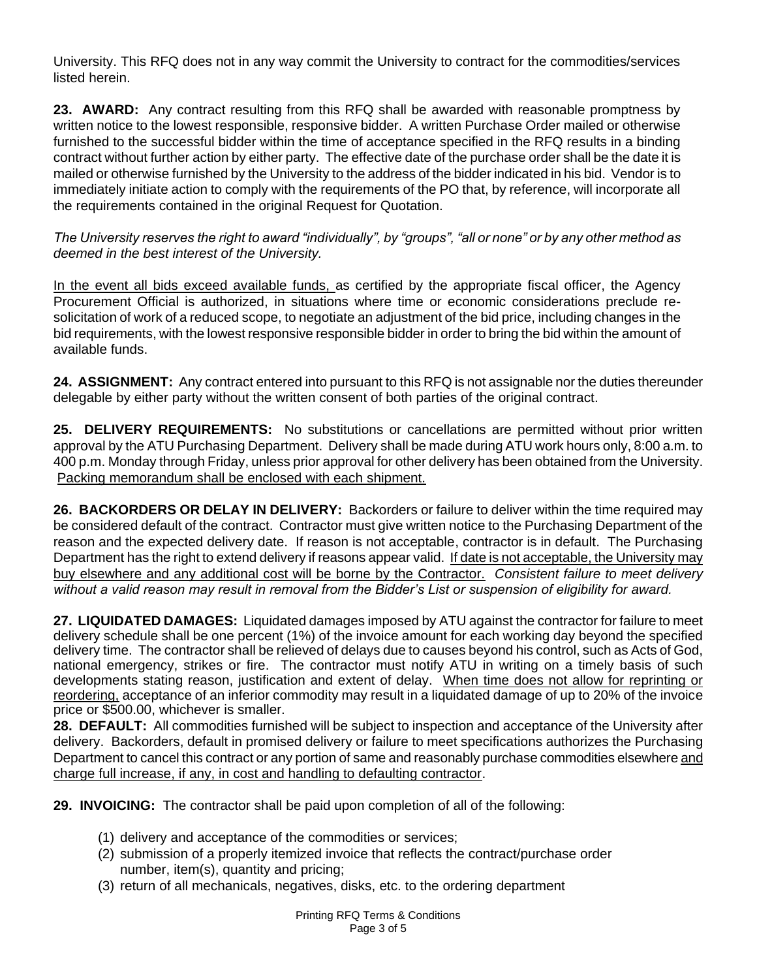University. This RFQ does not in any way commit the University to contract for the commodities/services listed herein.

**23. AWARD:** Any contract resulting from this RFQ shall be awarded with reasonable promptness by written notice to the lowest responsible, responsive bidder. A written Purchase Order mailed or otherwise furnished to the successful bidder within the time of acceptance specified in the RFQ results in a binding contract without further action by either party. The effective date of the purchase order shall be the date it is mailed or otherwise furnished by the University to the address of the bidder indicated in his bid. Vendor is to immediately initiate action to comply with the requirements of the PO that, by reference, will incorporate all the requirements contained in the original Request for Quotation.

*The University reserves the right to award "individually", by "groups", "all or none" or by any other method as deemed in the best interest of the University.*

In the event all bids exceed available funds, as certified by the appropriate fiscal officer, the Agency Procurement Official is authorized, in situations where time or economic considerations preclude resolicitation of work of a reduced scope, to negotiate an adjustment of the bid price, including changes in the bid requirements, with the lowest responsive responsible bidder in order to bring the bid within the amount of available funds.

**24. ASSIGNMENT:** Any contract entered into pursuant to this RFQ is not assignable nor the duties thereunder delegable by either party without the written consent of both parties of the original contract.

**25. DELIVERY REQUIREMENTS:** No substitutions or cancellations are permitted without prior written approval by the ATU Purchasing Department. Delivery shall be made during ATU work hours only, 8:00 a.m. to 400 p.m. Monday through Friday, unless prior approval for other delivery has been obtained from the University. Packing memorandum shall be enclosed with each shipment.

**26. BACKORDERS OR DELAY IN DELIVERY:** Backorders or failure to deliver within the time required may be considered default of the contract. Contractor must give written notice to the Purchasing Department of the reason and the expected delivery date. If reason is not acceptable, contractor is in default. The Purchasing Department has the right to extend delivery if reasons appear valid. If date is not acceptable, the University may buy elsewhere and any additional cost will be borne by the Contractor. *Consistent failure to meet delivery without a valid reason may result in removal from the Bidder's List or suspension of eligibility for award.*

**27. LIQUIDATED DAMAGES:** Liquidated damages imposed by ATU against the contractor for failure to meet delivery schedule shall be one percent (1%) of the invoice amount for each working day beyond the specified delivery time. The contractor shall be relieved of delays due to causes beyond his control, such as Acts of God, national emergency, strikes or fire. The contractor must notify ATU in writing on a timely basis of such developments stating reason, justification and extent of delay. When time does not allow for reprinting or reordering, acceptance of an inferior commodity may result in a liquidated damage of up to 20% of the invoice price or \$500.00, whichever is smaller.

**28. DEFAULT:** All commodities furnished will be subject to inspection and acceptance of the University after delivery. Backorders, default in promised delivery or failure to meet specifications authorizes the Purchasing Department to cancel this contract or any portion of same and reasonably purchase commodities elsewhere and charge full increase, if any, in cost and handling to defaulting contractor.

**29. INVOICING:** The contractor shall be paid upon completion of all of the following:

- (1) delivery and acceptance of the commodities or services;
- (2) submission of a properly itemized invoice that reflects the contract/purchase order number, item(s), quantity and pricing;
- (3) return of all mechanicals, negatives, disks, etc. to the ordering department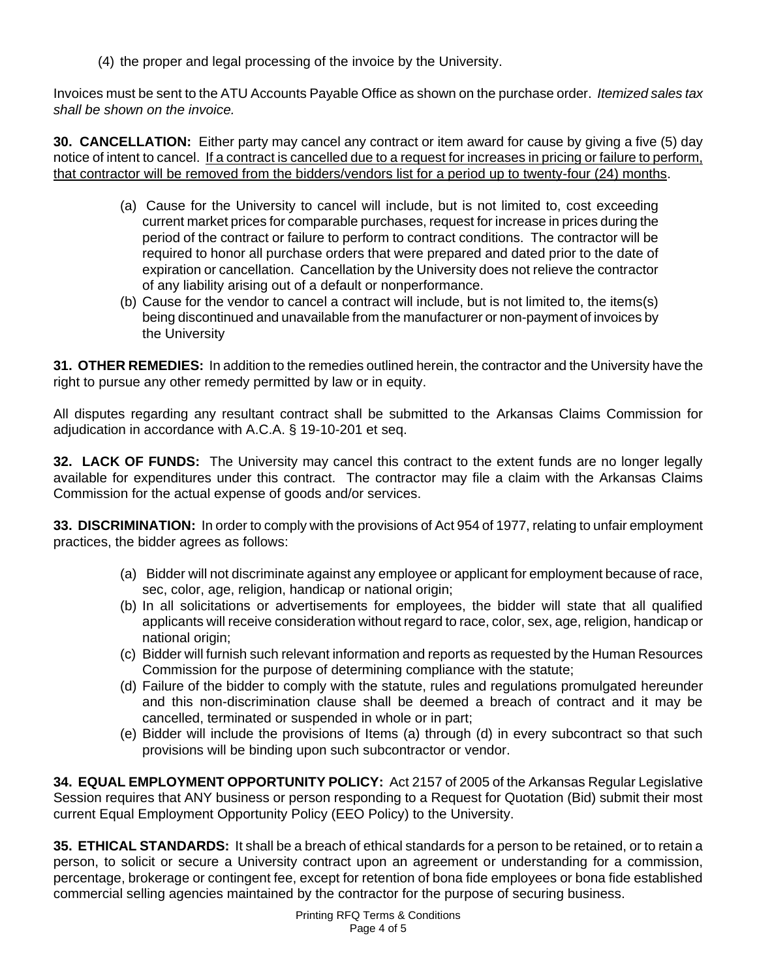(4) the proper and legal processing of the invoice by the University.

Invoices must be sent to the ATU Accounts Payable Office as shown on the purchase order. *Itemized sales tax shall be shown on the invoice.*

**30. CANCELLATION:** Either party may cancel any contract or item award for cause by giving a five (5) day notice of intent to cancel. If a contract is cancelled due to a request for increases in pricing or failure to perform, that contractor will be removed from the bidders/vendors list for a period up to twenty-four (24) months.

- (a) Cause for the University to cancel will include, but is not limited to, cost exceeding current market prices for comparable purchases, request for increase in prices during the period of the contract or failure to perform to contract conditions. The contractor will be required to honor all purchase orders that were prepared and dated prior to the date of expiration or cancellation. Cancellation by the University does not relieve the contractor of any liability arising out of a default or nonperformance.
- (b) Cause for the vendor to cancel a contract will include, but is not limited to, the items(s) being discontinued and unavailable from the manufacturer or non-payment of invoices by the University

**31. OTHER REMEDIES:** In addition to the remedies outlined herein, the contractor and the University have the right to pursue any other remedy permitted by law or in equity.

All disputes regarding any resultant contract shall be submitted to the Arkansas Claims Commission for adjudication in accordance with A.C.A. § 19-10-201 et seq.

**32. LACK OF FUNDS:** The University may cancel this contract to the extent funds are no longer legally available for expenditures under this contract. The contractor may file a claim with the Arkansas Claims Commission for the actual expense of goods and/or services.

**33. DISCRIMINATION:** In order to comply with the provisions of Act 954 of 1977, relating to unfair employment practices, the bidder agrees as follows:

- (a) Bidder will not discriminate against any employee or applicant for employment because of race, sec, color, age, religion, handicap or national origin;
- (b) In all solicitations or advertisements for employees, the bidder will state that all qualified applicants will receive consideration without regard to race, color, sex, age, religion, handicap or national origin;
- (c) Bidder will furnish such relevant information and reports as requested by the Human Resources Commission for the purpose of determining compliance with the statute;
- (d) Failure of the bidder to comply with the statute, rules and regulations promulgated hereunder and this non-discrimination clause shall be deemed a breach of contract and it may be cancelled, terminated or suspended in whole or in part;
- (e) Bidder will include the provisions of Items (a) through (d) in every subcontract so that such provisions will be binding upon such subcontractor or vendor.

**34. EQUAL EMPLOYMENT OPPORTUNITY POLICY:** Act 2157 of 2005 of the Arkansas Regular Legislative Session requires that ANY business or person responding to a Request for Quotation (Bid) submit their most current Equal Employment Opportunity Policy (EEO Policy) to the University.

**35. ETHICAL STANDARDS:** It shall be a breach of ethical standards for a person to be retained, or to retain a person, to solicit or secure a University contract upon an agreement or understanding for a commission, percentage, brokerage or contingent fee, except for retention of bona fide employees or bona fide established commercial selling agencies maintained by the contractor for the purpose of securing business.